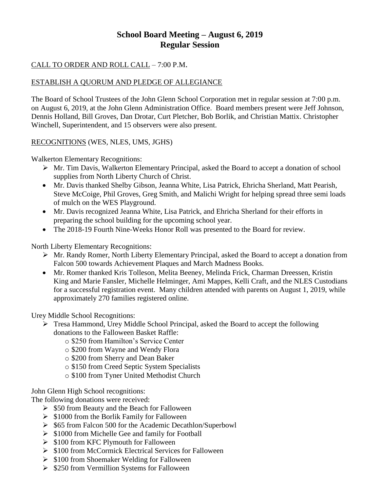# **School Board Meeting – August 6, 2019 Regular Session**

## CALL TO ORDER AND ROLL CALL – 7:00 P.M.

## ESTABLISH A QUORUM AND PLEDGE OF ALLEGIANCE

The Board of School Trustees of the John Glenn School Corporation met in regular session at 7:00 p.m. on August 6, 2019, at the John Glenn Administration Office. Board members present were Jeff Johnson, Dennis Holland, Bill Groves, Dan Drotar, Curt Pletcher, Bob Borlik, and Christian Mattix. Christopher Winchell, Superintendent, and 15 observers were also present.

## RECOGNITIONS (WES, NLES, UMS, JGHS)

Walkerton Elementary Recognitions:

- $\triangleright$  Mr. Tim Davis, Walkerton Elementary Principal, asked the Board to accept a donation of school supplies from North Liberty Church of Christ.
- Mr. Davis thanked Shelby Gibson, Jeanna White, Lisa Patrick, Ehricha Sherland, Matt Pearish, Steve McCoige, Phil Groves, Greg Smith, and Malichi Wright for helping spread three semi loads of mulch on the WES Playground.
- Mr. Davis recognized Jeanna White, Lisa Patrick, and Ehricha Sherland for their efforts in preparing the school building for the upcoming school year.
- The 2018-19 Fourth Nine-Weeks Honor Roll was presented to the Board for review.

North Liberty Elementary Recognitions:

- Mr. Randy Romer, North Liberty Elementary Principal, asked the Board to accept a donation from Falcon 500 towards Achievement Plaques and March Madness Books.
- Mr. Romer thanked Kris Tolleson, Melita Beeney, Melinda Frick, Charman Dreessen, Kristin King and Marie Fansler, Michelle Helminger, Ami Mappes, Kelli Craft, and the NLES Custodians for a successful registration event. Many children attended with parents on August 1, 2019, while approximately 270 families registered online.

Urey Middle School Recognitions:

- Tresa Hammond, Urey Middle School Principal, asked the Board to accept the following donations to the Falloween Basket Raffle:
	- o \$250 from Hamilton's Service Center
	- o \$200 from Wayne and Wendy Flora
	- o \$200 from Sherry and Dean Baker
	- o \$150 from Creed Septic System Specialists
	- o \$100 from Tyner United Methodist Church

John Glenn High School recognitions:

The following donations were received:

- $\geq$  \$50 from Beauty and the Beach for Falloween
- $\geq$  \$1000 from the Borlik Family for Falloween
- $\geq$  \$65 from Falcon 500 for the Academic Decathlon/Superbowl
- $\triangleright$  \$1000 from Michelle Gee and family for Football
- $\geq$  \$100 from KFC Plymouth for Falloween
- $\triangleright$  \$100 from McCormick Electrical Services for Falloween
- $\geq$  \$100 from Shoemaker Welding for Falloween
- $\geq$  \$250 from Vermillion Systems for Falloween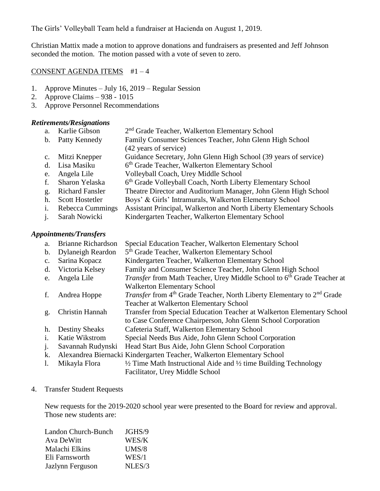The Girls' Volleyball Team held a fundraiser at Hacienda on August 1, 2019.

Christian Mattix made a motion to approve donations and fundraisers as presented and Jeff Johnson seconded the motion. The motion passed with a vote of seven to zero.

#### CONSENT AGENDA ITEMS #1 – 4

- 1. Approve Minutes July 16, 2019 Regular Session
- 2. Approve Claims 938 1015
- 3. Approve Personnel Recommendations

#### *Retirements/Resignations*

| a.          | Karlie Gibson          | 2 <sup>nd</sup> Grade Teacher, Walkerton Elementary School          |
|-------------|------------------------|---------------------------------------------------------------------|
| $b_{\cdot}$ | Patty Kennedy          | Family Consumer Sciences Teacher, John Glenn High School            |
|             |                        | (42 years of service)                                               |
| $c_{\cdot}$ | Mitzi Knepper          | Guidance Secretary, John Glenn High School (39 years of service)    |
| d.          | Lisa Masiku            | 6th Grade Teacher, Walkerton Elementary School                      |
| e.          | Angela Lile            | Volleyball Coach, Urey Middle School                                |
|             | Sharon Yelaska         | 6th Grade Volleyball Coach, North Liberty Elementary School         |
| g.          | <b>Richard Fansler</b> | Theatre Director and Auditorium Manager, John Glenn High School     |
| h.          | <b>Scott Hostetler</b> | Boys' & Girls' Intramurals, Walkerton Elementary School             |
|             | Rebecca Cummings       | Assistant Principal, Walkerton and North Liberty Elementary Schools |
|             |                        |                                                                     |

j. Sarah Nowicki Kindergarten Teacher, Walkerton Elementary School

#### *Appointments/Transfers*

a. Brianne Richardson Special Education Teacher, Walkerton Elementary School b. Dylaneigh Reardon 5<sup>th</sup> Grade Teacher, Walkerton Elementary School c. Sarina Kopacz Kindergarten Teacher, Walkerton Elementary School d. Victoria Kelsey Family and Consumer Science Teacher, John Glenn High School e. Angela Lile *Transfer* from Math Teacher, Urey Middle School to 6<sup>th</sup> Grade Teacher at Walkerton Elementary School f. Andrea Hoppe *Transfer* from 4<sup>th</sup> Grade Teacher, North Liberty Elementary to 2<sup>nd</sup> Grade Teacher at Walkerton Elementary School g. Christin Hannah Transfer from Special Education Teacher at Walkerton Elementary School to Case Conference Chairperson, John Glenn School Corporation h. Destiny Sheaks Cafeteria Staff, Walkerton Elementary School i. Katie Wikstrom Special Needs Bus Aide, John Glenn School Corporation j. Savannah Rudynski Head Start Bus Aide, John Glenn School Corporation k. Alexandrea Biernacki Kindergarten Teacher, Walkerton Elementary School 1. Mikayla Flora  $\frac{1}{2}$  Time Math Instructional Aide and  $\frac{1}{2}$  time Building Technology Facilitator, Urey Middle School

## 4. Transfer Student Requests

New requests for the 2019-2020 school year were presented to the Board for review and approval. Those new students are:

| Landon Church-Bunch | JGHS/9 |
|---------------------|--------|
| Ava DeWitt          | WES/K  |
| Malachi Elkins      | UMS/8  |
| Eli Farnsworth      | WES/1  |
| Jazlynn Ferguson    | NLES/3 |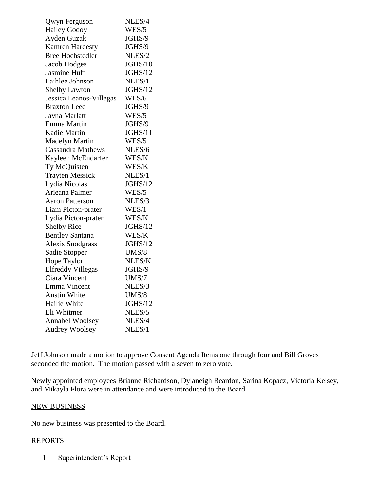| Qwyn Ferguson            | NLES/4         |
|--------------------------|----------------|
| <b>Hailey Godoy</b>      | WES/5          |
| Ayden Guzak              | JGHS/9         |
| <b>Kamren Hardesty</b>   | JGHS/9         |
| <b>Bree Hochstedler</b>  | NLES/2         |
| Jacob Hodges             | JGHS/10        |
| Jasmine Huff             | JGHS/12        |
| Laihlee Johnson          | NLES/1         |
| <b>Shelby Lawton</b>     | JGHS/12        |
| Jessica Leanos-Villegas  | WES/6          |
| <b>Braxton Leed</b>      | JGHS/9         |
| Jayna Marlatt            | WES/5          |
| Emma Martin              | JGHS/9         |
| <b>Kadie Martin</b>      | JGHS/11        |
| <b>Madelyn Martin</b>    | WES/5          |
| <b>Cassandra Mathews</b> | NLES/6         |
| Kayleen McEndarfer       | WES/K          |
| Ty McQuisten             | WES/K          |
| <b>Trayten Messick</b>   | NLES/1         |
| Lydia Nicolas            | <b>JGHS/12</b> |
| Arieana Palmer           | WES/5          |
| <b>Aaron Patterson</b>   | NLES/3         |
| Liam Picton-prater       | WES/1          |
| Lydia Picton-prater      | WES/K          |
| <b>Shelby Rice</b>       | JGHS/12        |
| <b>Bentley Santana</b>   | WES/K          |
| <b>Alexis Snodgrass</b>  | JGHS/12        |
| Sadie Stopper            | UMS/8          |
| Hope Taylor              | NLES/K         |
| <b>Elfreddy Villegas</b> | JGHS/9         |
| Ciara Vincent            | UMS/7          |
| Emma Vincent             | NLES/3         |
| <b>Austin White</b>      | UMS/8          |
| Hailie White             | JGHS/12        |
| Eli Whitmer              | NLES/5         |
| <b>Annabel Woolsey</b>   | NLES/4         |
| <b>Audrey Woolsey</b>    | NLES/1         |

Jeff Johnson made a motion to approve Consent Agenda Items one through four and Bill Groves seconded the motion. The motion passed with a seven to zero vote.

Newly appointed employees Brianne Richardson, Dylaneigh Reardon, Sarina Kopacz, Victoria Kelsey, and Mikayla Flora were in attendance and were introduced to the Board.

#### NEW BUSINESS

No new business was presented to the Board.

## REPORTS

1. Superintendent's Report